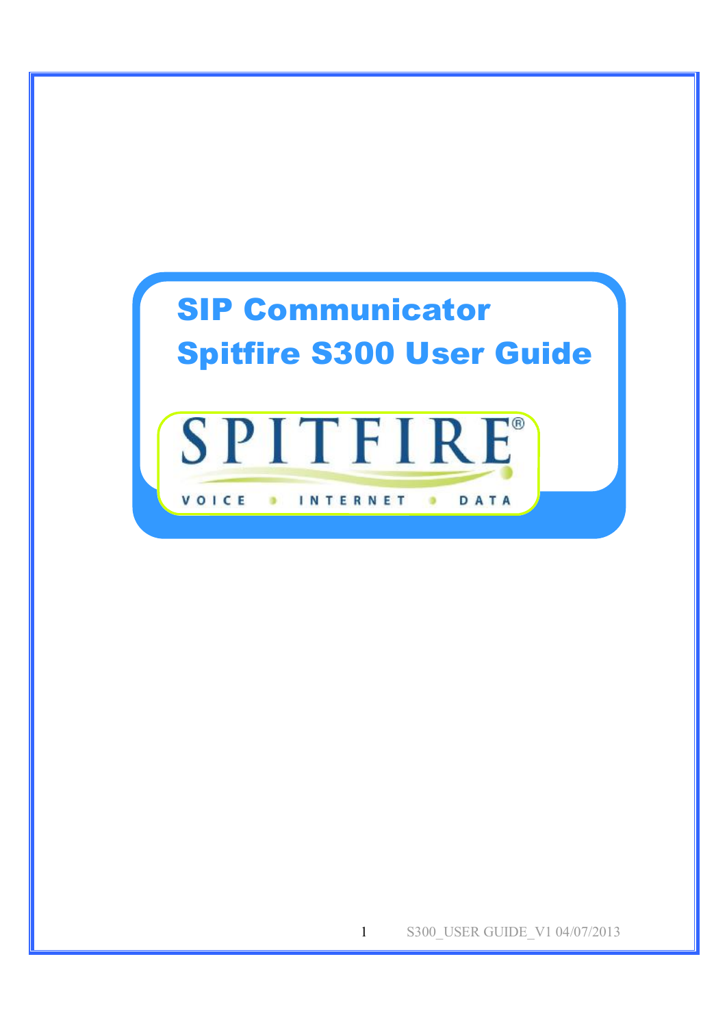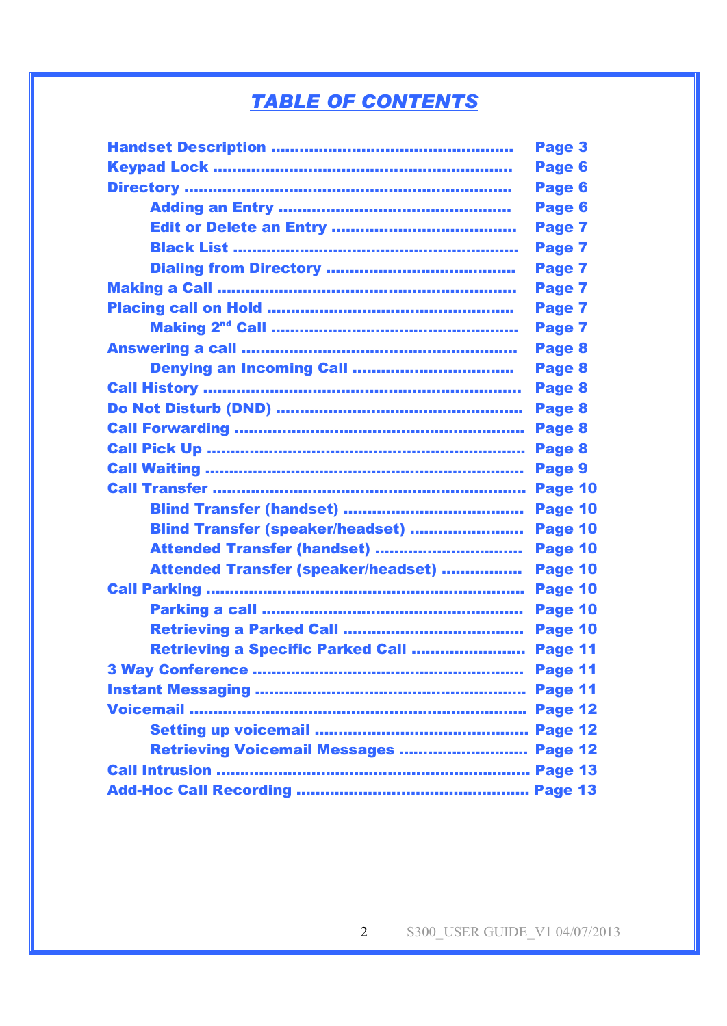# *TABLE OF CONTENTS*

|                                        | Page 3  |
|----------------------------------------|---------|
|                                        | Page 6  |
|                                        | Page 6  |
|                                        | Page 6  |
|                                        | Page 7  |
|                                        | Page 7  |
|                                        | Page 7  |
|                                        | Page 7  |
|                                        | Page 7  |
|                                        | Page 7  |
|                                        | Page 8  |
|                                        | Page 8  |
|                                        | Page 8  |
|                                        | Page 8  |
|                                        | Page 8  |
|                                        | Page 8  |
|                                        | Page 9  |
|                                        | Page 10 |
|                                        | Page 10 |
| Blind Transfer (speaker/headset)       | Page 10 |
| Attended Transfer (handset)            | Page 10 |
| Attended Transfer (speaker/headset)    | Page 10 |
|                                        | Page 10 |
|                                        | Page 10 |
|                                        | Page 10 |
| Retrieving a Specific Parked Call      | Page 11 |
|                                        | Page 11 |
|                                        |         |
|                                        |         |
|                                        |         |
| Retrieving Voicemail Messages  Page 12 |         |
|                                        |         |
|                                        |         |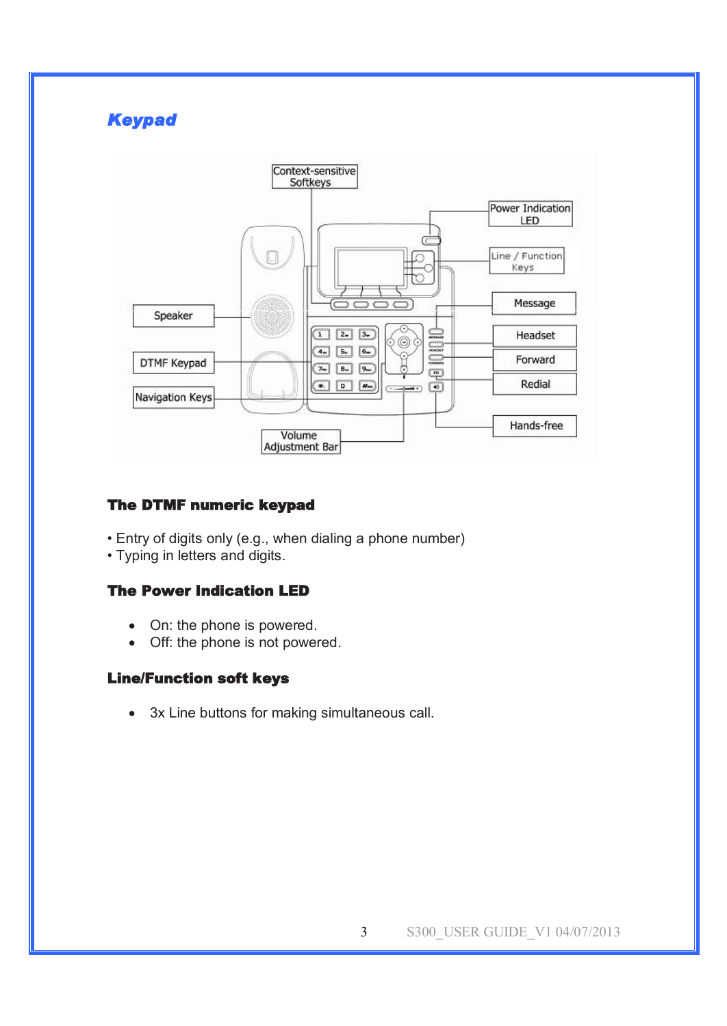## *Keypad*



### **The DTMF numeric keypad**

- Entry of digits only (e.g., when dialing a phone number)
- Typing in letters and digits.

### **The Power Indication LED**

- On: the phone is powered.
- Off: the phone is not powered.

### **Line/Function soft keys**

· 3x Line buttons for making simultaneous call.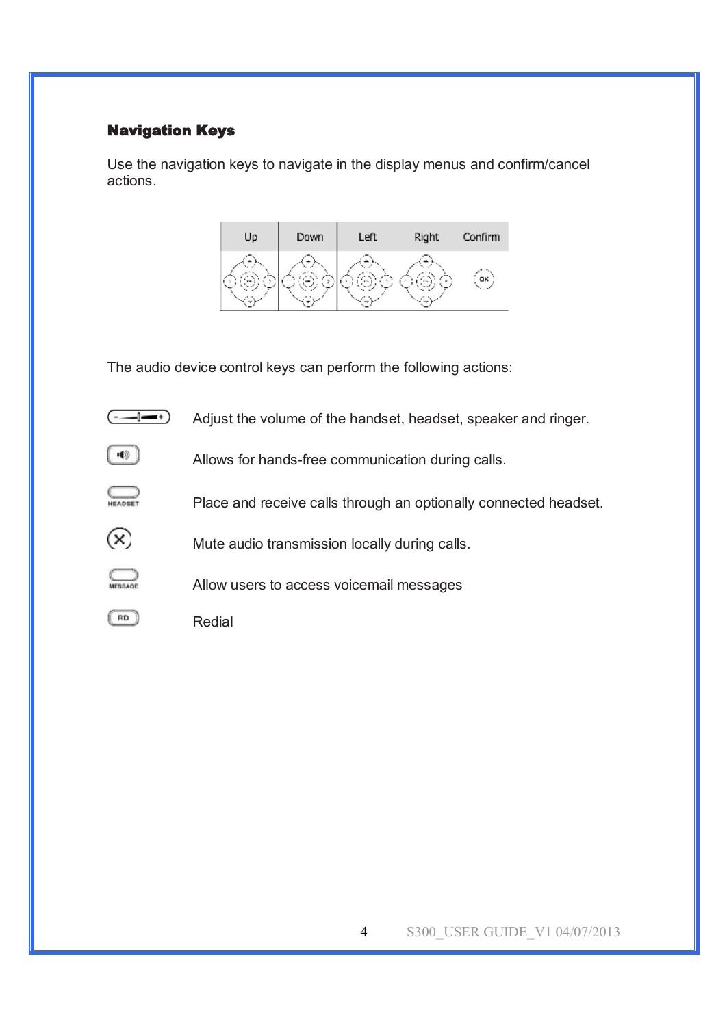### **Navigation Keys**

Use the navigation keys to navigate in the display menus and confirm/cancel actions.



The audio device control keys can perform the following actions:

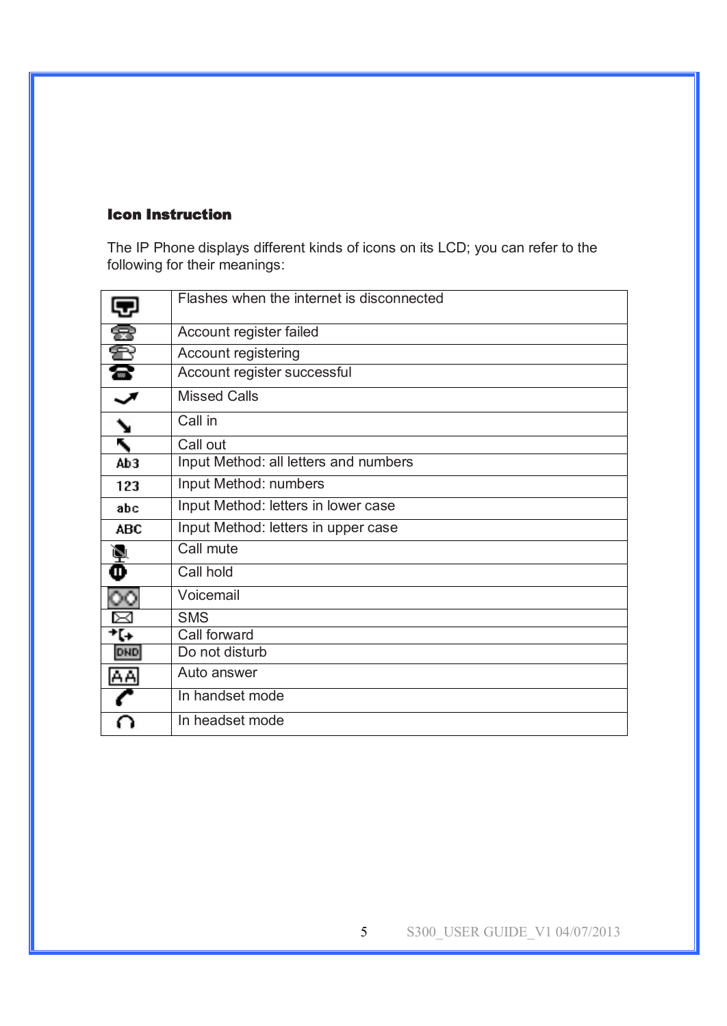## **Icon Instruction**

The IP Phone displays different kinds of icons on its LCD; you can refer to the following for their meanings:

|            | Flashes when the internet is disconnected |
|------------|-------------------------------------------|
| 융          | Account register failed                   |
| Ð          | Account registering                       |
| W          | Account register successful               |
|            | <b>Missed Calls</b>                       |
| ╲          | Call in                                   |
| F,         | Call out                                  |
| Ab3        | Input Method: all letters and numbers     |
| 123        | Input Method: numbers                     |
| abc        | Input Method: letters in lower case       |
| ABC        | Input Method: letters in upper case       |
| Ā          | Call mute                                 |
| Φ          | Call hold                                 |
| ЮO         | Voicemail                                 |
| ⊠          | <b>SMS</b>                                |
| ተር÷        | Call forward                              |
| <b>DHD</b> | Do not disturb                            |
| АÀ         | Auto answer                               |
|            | In handset mode                           |
|            | In headset mode                           |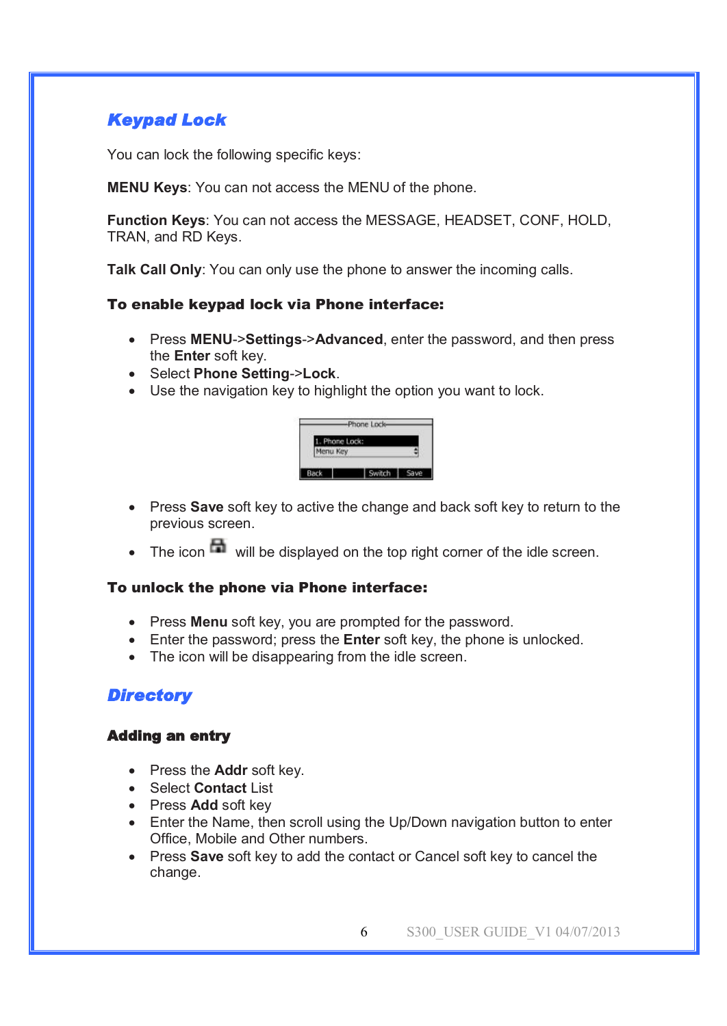## *Keypad Lock*

You can lock the following specific keys:

**MENU Keys**: You can not access the MENU of the phone.

**Function Keys**: You can not access the MESSAGE, HEADSET, CONF, HOLD, TRAN, and RD Keys.

**Talk Call Only**: You can only use the phone to answer the incoming calls.

### To enable keypad lock via Phone interface:

- · Press **MENU**->**Settings**->**Advanced**, enter the password, and then press the **Enter** soft key.
- · Select **Phone Setting**->**Lock**.
- · Use the navigation key to highlight the option you want to lock.

| . Phone Lock: |  |
|---------------|--|
| Menu Key      |  |

- · Press **Save** soft key to active the change and back soft key to return to the previous screen.
- $\bullet$  The icon  $\blacksquare$  will be displayed on the top right corner of the idle screen.

### To unlock the phone via Phone interface:

- · Press **Menu** soft key, you are prompted for the password.
- · Enter the password; press the **Enter** soft key, the phone is unlocked.
- The icon will be disappearing from the idle screen.

## *Directory*

### **Adding an entry**

- · Press the **Addr** soft key.
- · Select **Contact** List
- · Press **Add** soft key
- Enter the Name, then scroll using the Up/Down navigation button to enter Office, Mobile and Other numbers.
- · Press **Save** soft key to add the contact or Cancel soft key to cancel the change.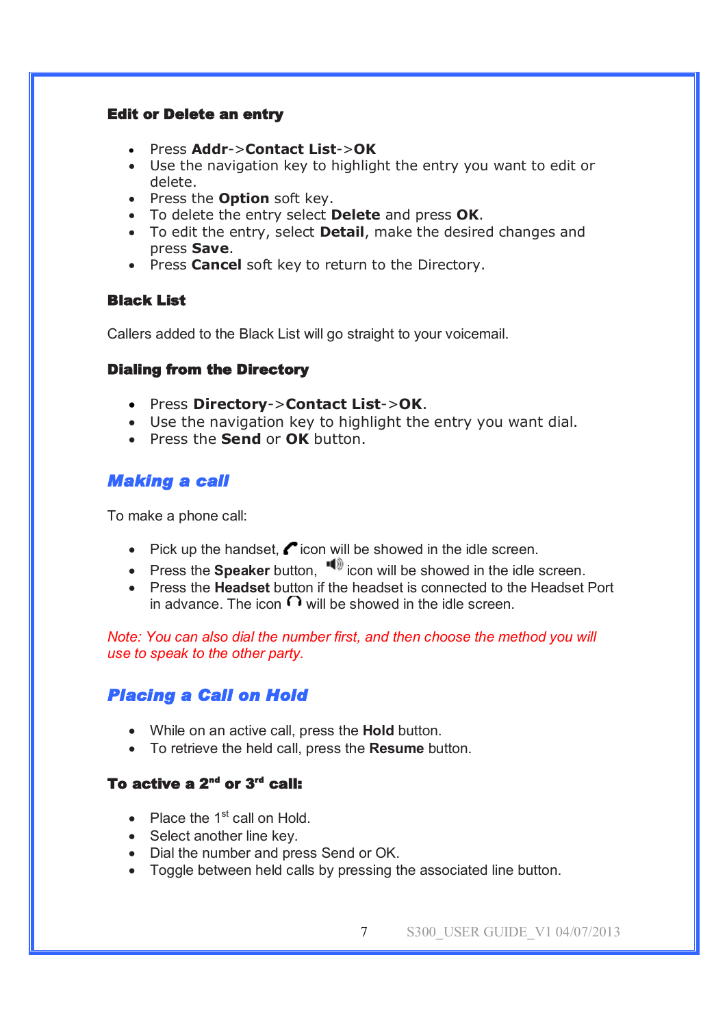#### **Edit or Delete an entry**

- · Press **Addr**->**Contact List**->**OK**
- · Use the navigation key to highlight the entry you want to edit or delete.
- · Press the **Option** soft key.
- · To delete the entry select **Delete** and press **OK**.
- · To edit the entry, select **Detail**, make the desired changes and press **Save**.
- · Press **Cancel** soft key to return to the Directory.

#### **Black List**

Callers added to the Black List will go straight to your voicemail.

#### **Dialing from the Directory**

- · Press **Directory**->**Contact List**->**OK**.
- · Use the navigation key to highlight the entry you want dial.
- · Press the **Send** or **OK** button.

### *Making a call*

To make a phone call:

- Pick up the handset,  $\bullet$  icon will be showed in the idle screen.
- Press the **Speaker** button,  $\blacksquare$  icon will be showed in the idle screen.
- · Press the **Headset** button if the headset is connected to the Headset Port in advance. The icon  $\Omega$  will be showed in the idle screen.

*Note: You can also dial the number first, and then choose the method you will use to speak to the other party.* 

## *Placing a Call on Hold*

- · While on an active call, press the **Hold** button.
- · To retrieve the held call, press the **Resume** button.

### **To active a 2nd or 3rd call:**

- Place the  $1<sup>st</sup>$  call on Hold.
- Select another line key.
- · Dial the number and press Send or OK.
- · Toggle between held calls by pressing the associated line button.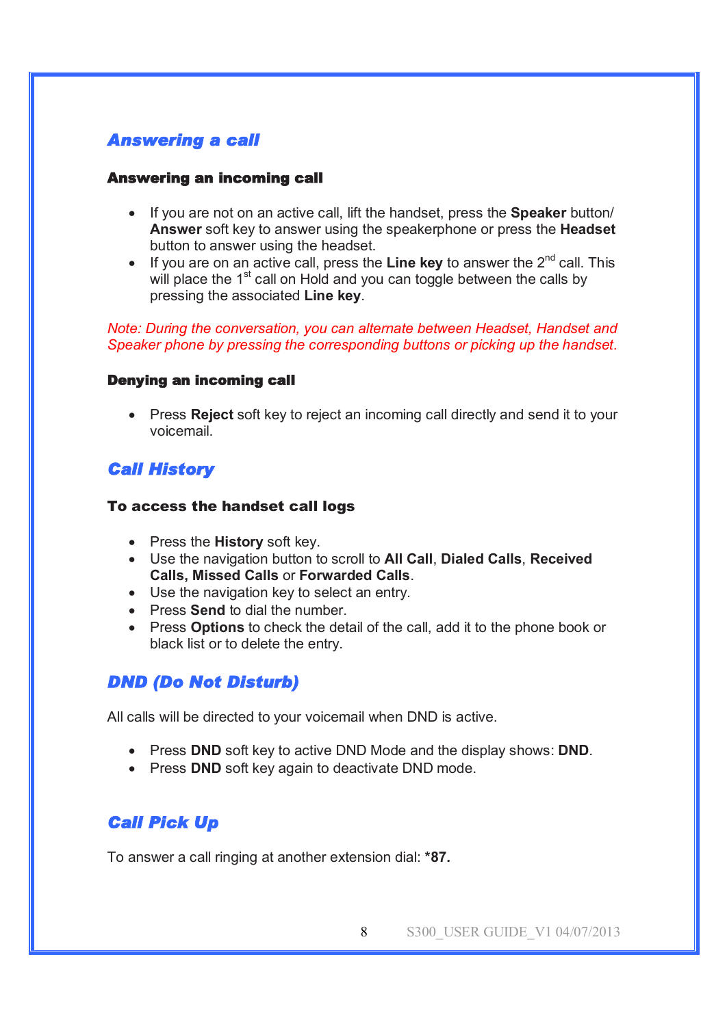## *Answering a call*

#### **Answering an incoming call**

- · If you are not on an active call, lift the handset, press the **Speaker** button/ **Answer** soft key to answer using the speakerphone or press the **Headset** button to answer using the headset.
- · If you are on an active call, press the **Line key** to answer the 2nd call. This will place the  $1<sup>st</sup>$  call on Hold and you can toggle between the calls by pressing the associated **Line key**.

#### *Note: During the conversation, you can alternate between Headset, Handset and Speaker phone by pressing the corresponding buttons or picking up the handset*.

#### **Denying an incoming call**

· Press **Reject** soft key to reject an incoming call directly and send it to your voicemail.

## *Call History*

#### To access the handset call logs

- · Press the **History** soft key.
- · Use the navigation button to scroll to **All Call**, **Dialed Calls**, **Received Calls, Missed Calls** or **Forwarded Calls**.
- · Use the navigation key to select an entry.
- · Press **Send** to dial the number.
- · Press **Options** to check the detail of the call, add it to the phone book or black list or to delete the entry.

## *DND (Do Not Disturb)*

All calls will be directed to your voicemail when DND is active.

- · Press **DND** soft key to active DND Mode and the display shows: **DND**.
- · Press **DND** soft key again to deactivate DND mode.

## *Call Pick Up*

To answer a call ringing at another extension dial: **\*87.**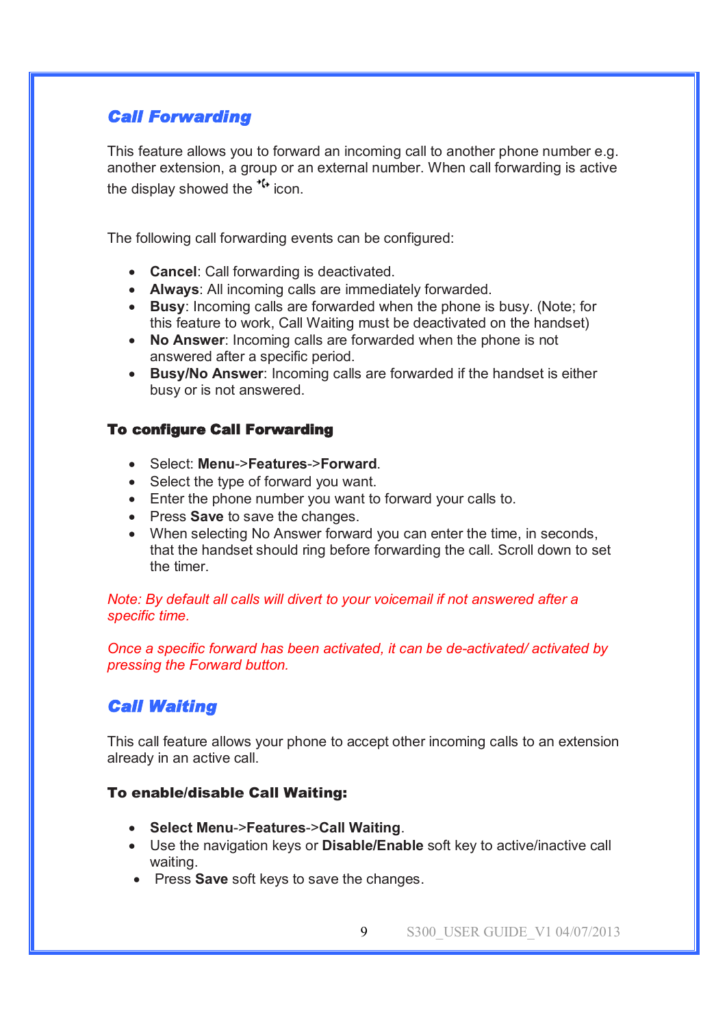## *Call Forwarding*

This feature allows you to forward an incoming call to another phone number e.g. another extension, a group or an external number. When call forwarding is active the display showed the  $\mathbf{t}^*$  icon.

The following call forwarding events can be configured:

- · **Cancel**: Call forwarding is deactivated.
- · **Always**: All incoming calls are immediately forwarded.
- · **Busy**: Incoming calls are forwarded when the phone is busy. (Note; for this feature to work, Call Waiting must be deactivated on the handset)
- · **No Answer**: Incoming calls are forwarded when the phone is not answered after a specific period.
- · **Busy/No Answer**: Incoming calls are forwarded if the handset is either busy or is not answered.

#### **To configure Call Forwarding**

- · Select: **Menu**->**Features**->**Forward**.
- · Select the type of forward you want.
- · Enter the phone number you want to forward your calls to.
- · Press **Save** to save the changes.
- · When selecting No Answer forward you can enter the time, in seconds, that the handset should ring before forwarding the call. Scroll down to set the timer.

*Note: By default all calls will divert to your voicemail if not answered after a specific time.* 

*Once a specific forward has been activated, it can be de-activated/ activated by pressing the Forward button.* 

## *Call Waiting*

This call feature allows your phone to accept other incoming calls to an extension already in an active call.

#### To enable/disable Call Waiting:

- · **Select Menu**->**Features**->**Call Waiting**.
- · Use the navigation keys or **Disable/Enable** soft key to active/inactive call waiting.
- · Press **Save** soft keys to save the changes.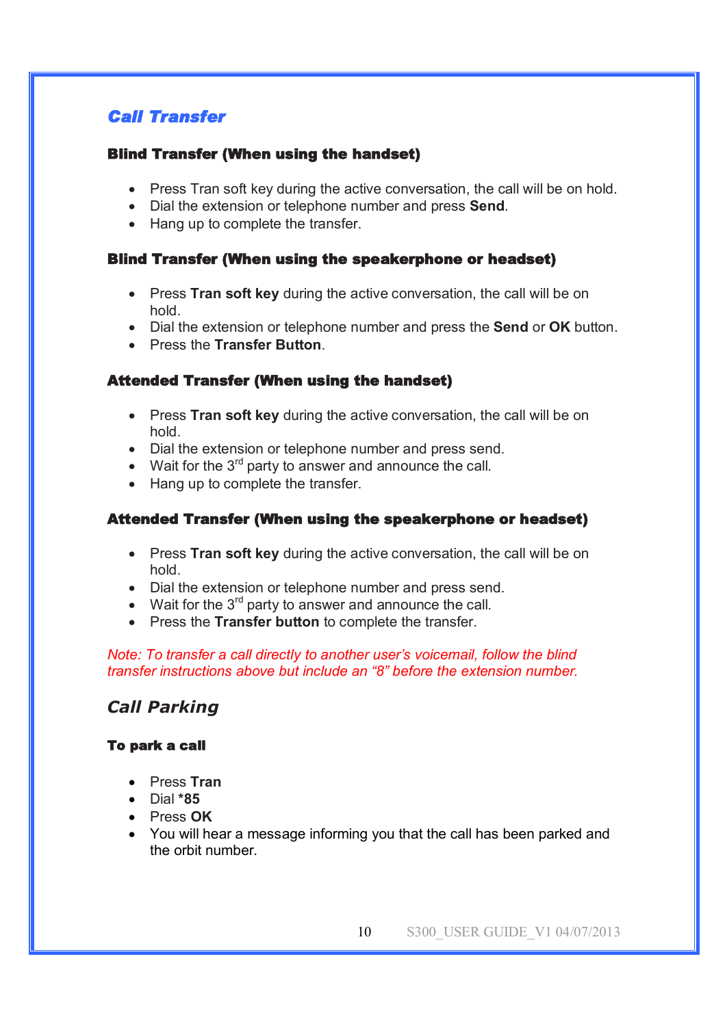## *Call Transfer*

### **Blind Transfer (When using the handset)**

- · Press Tran soft key during the active conversation, the call will be on hold.
- · Dial the extension or telephone number and press **Send**.
- · Hang up to complete the transfer.

#### **Blind Transfer (When using the speakerphone or headset)**

- · Press **Tran soft key** during the active conversation, the call will be on hold.
- · Dial the extension or telephone number and press the **Send** or **OK** button.
- · Press the **Transfer Button**.

### **Attended Transfer (When using the handset)**

- · Press **Tran soft key** during the active conversation, the call will be on hold.
- · Dial the extension or telephone number and press send.
- Wait for the  $3^{rd}$  party to answer and announce the call.
- · Hang up to complete the transfer.

### **Attended Transfer (When using the speakerphone or headset)**

- · Press **Tran soft key** during the active conversation, the call will be on hold.
- · Dial the extension or telephone number and press send.
- Wait for the  $3^{rd}$  party to answer and announce the call.
- · Press the **Transfer button** to complete the transfer.

#### *Note: To transfer a call directly to another user's voicemail, follow the blind transfer instructions above but include an "8" before the extension number.*

## *Call Parking*

### **To park a call**

- · Press **Tran**
- · Dial **\*85**
- · Press **OK**
- · You will hear a message informing you that the call has been parked and the orbit number.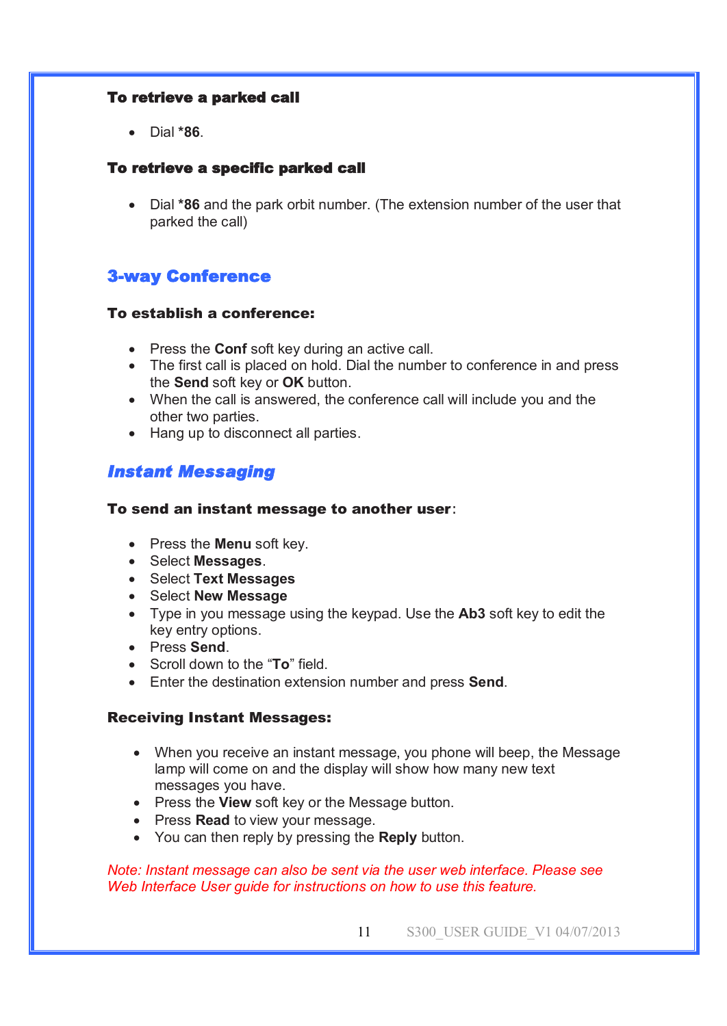#### **To retrieve a parked call**

· Dial **\*86**.

#### **To retrieve a specific parked call**

· Dial **\*86** and the park orbit number. (The extension number of the user that parked the call)

## **3-way Conference**

#### To establish a conference:

- · Press the **Conf** soft key during an active call.
- The first call is placed on hold. Dial the number to conference in and press the **Send** soft key or **OK** button.
- · When the call is answered, the conference call will include you and the other two parties.
- · Hang up to disconnect all parties.

## *Instant Messaging*

#### To send an instant message to another user:

- · Press the **Menu** soft key.
- · Select **Messages**.
- · Select **Text Messages**
- · Select **New Message**
- · Type in you message using the keypad. Use the **Ab3** soft key to edit the key entry options.
- · Press **Send**.
- · Scroll down to the "**To**" field.
- · Enter the destination extension number and press **Send**.

#### Receiving Instant Messages:

- · When you receive an instant message, you phone will beep, the Message lamp will come on and the display will show how many new text messages you have.
- · Press the **View** soft key or the Message button.
- · Press **Read** to view your message.
- · You can then reply by pressing the **Reply** button.

*Note: Instant message can also be sent via the user web interface. Please see Web Interface User guide for instructions on how to use this feature.*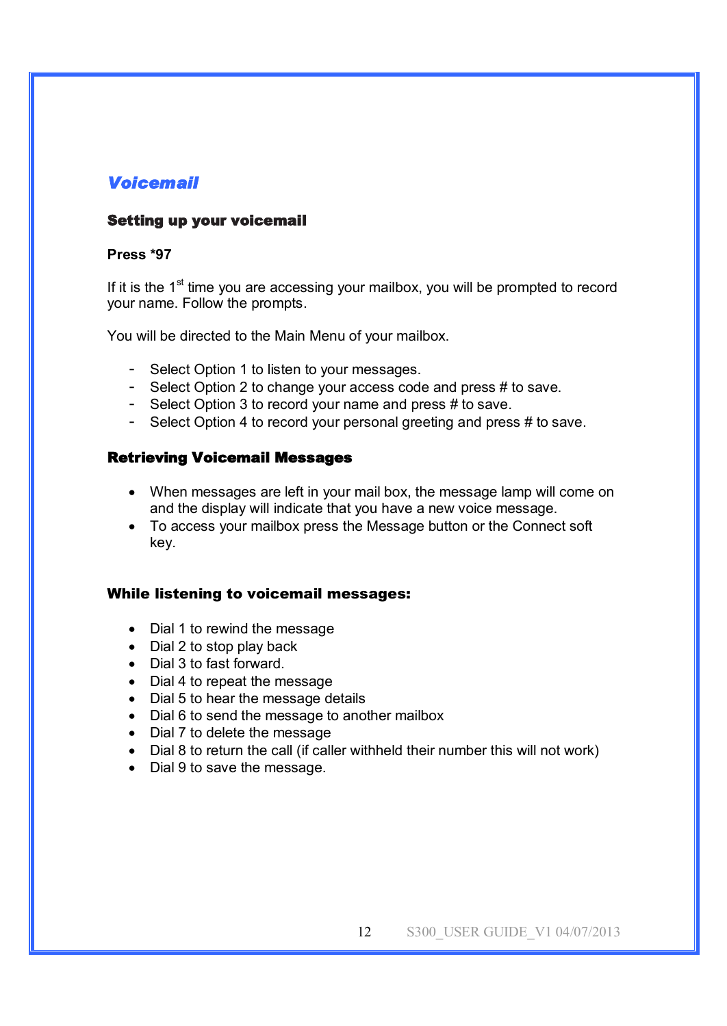## *Voicemail*

#### **Setting up your voicemail**

#### **Press \*97**

If it is the  $1<sup>st</sup>$  time you are accessing your mailbox, you will be prompted to record your name. Follow the prompts.

You will be directed to the Main Menu of your mailbox.

- Select Option 1 to listen to your messages.
- Select Option 2 to change your access code and press # to save.
- Select Option 3 to record your name and press # to save.
- Select Option 4 to record your personal greeting and press # to save.

#### **Retrieving Voicemail Messages**

- · When messages are left in your mail box, the message lamp will come on and the display will indicate that you have a new voice message.
- · To access your mailbox press the Message button or the Connect soft key.

#### While listening to voicemail messages:

- Dial 1 to rewind the message
- · Dial 2 to stop play back
- · Dial 3 to fast forward.
- · Dial 4 to repeat the message
- · Dial 5 to hear the message details
- · Dial 6 to send the message to another mailbox
- · Dial 7 to delete the message
- · Dial 8 to return the call (if caller withheld their number this will not work)
- Dial 9 to save the message.